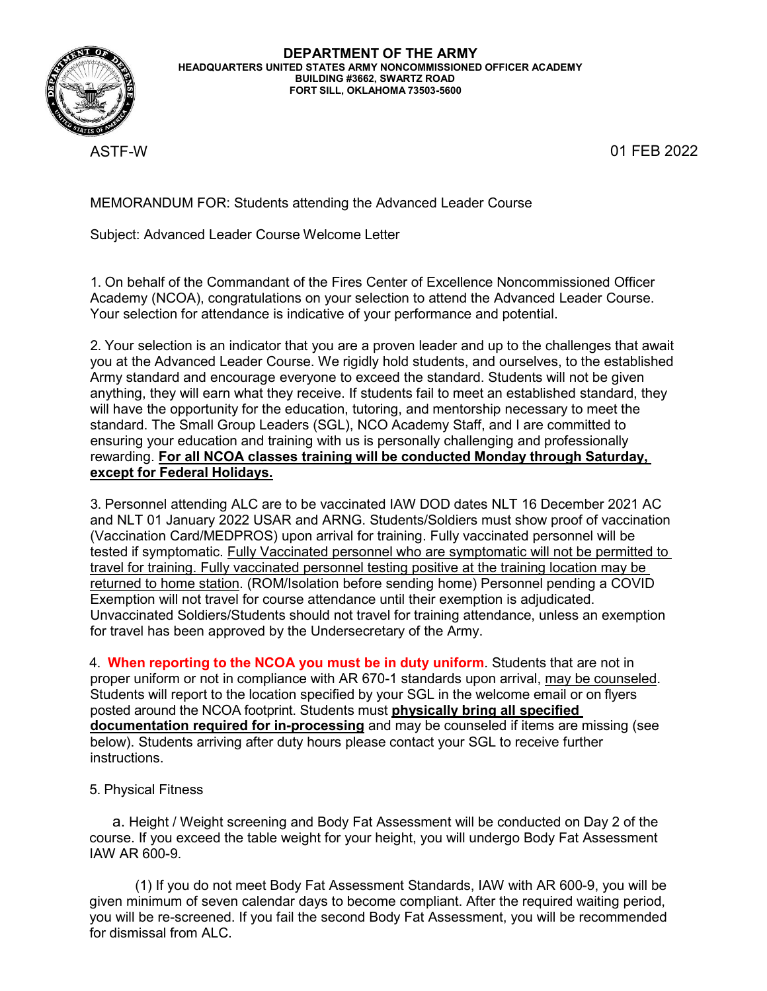

ASTF-W 01 FEB 2022

MEMORANDUM FOR: Students attending the Advanced Leader Course

Subject: Advanced Leader Course Welcome Letter

1. On behalf of the Commandant of the Fires Center of Excellence Noncommissioned Officer Academy (NCOA), congratulations on your selection to attend the Advanced Leader Course. Your selection for attendance is indicative of your performance and potential.

2. Your selection is an indicator that you are a proven leader and up to the challenges that await you at the Advanced Leader Course. We rigidly hold students, and ourselves, to the established Army standard and encourage everyone to exceed the standard. Students will not be given anything, they will earn what they receive. If students fail to meet an established standard, they will have the opportunity for the education, tutoring, and mentorship necessary to meet the standard. The Small Group Leaders (SGL), NCO Academy Staff, and I are committed to ensuring your education and training with us is personally challenging and professionally rewarding. **For all NCOA classes training will be conducted Monday through Saturday, except for Federal Holidays.**

3. Personnel attending ALC are to be vaccinated IAW DOD dates NLT 16 December 2021 AC and NLT 01 January 2022 USAR and ARNG. Students/Soldiers must show proof of vaccination (Vaccination Card/MEDPROS) upon arrival for training. Fully vaccinated personnel will be tested if symptomatic. Fully Vaccinated personnel who are symptomatic will not be permitted to travel for training. Fully vaccinated personnel testing positive at the training location may be returned to home station. (ROM/Isolation before sending home) Personnel pending a COVID Exemption will not travel for course attendance until their exemption is adjudicated. Unvaccinated Soldiers/Students should not travel for training attendance, unless an exemption for travel has been approved by the Undersecretary of the Army.

4. **When reporting to the NCOA you must be in duty uniform**. Students that are not in proper uniform or not in compliance with AR 670-1 standards upon arrival, may be counseled. Students will report to the location specified by your SGL in the welcome email or on flyers posted around the NCOA footprint. Students must **physically bring all specified documentation required for in-processing** and may be counseled if items are missing (see below). Students arriving after duty hours please contact your SGL to receive further instructions.

## 5. Physical Fitness

a. Height / Weight screening and Body Fat Assessment will be conducted on Day 2 of the course. If you exceed the table weight for your height, you will undergo Body Fat Assessment IAW AR 600-9.

(1) If you do not meet Body Fat Assessment Standards, IAW with AR 600-9, you will be given minimum of seven calendar days to become compliant. After the required waiting period, you will be re-screened. If you fail the second Body Fat Assessment, you will be recommended for dismissal from ALC.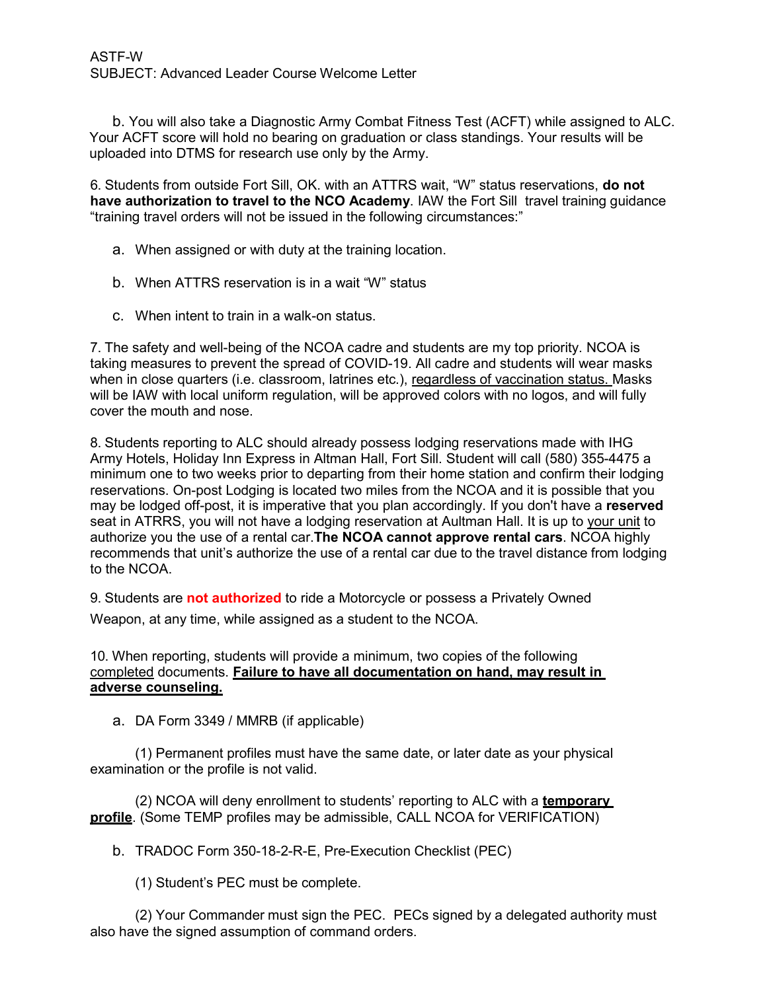b. You will also take a Diagnostic Army Combat Fitness Test (ACFT) while assigned to ALC. Your ACFT score will hold no bearing on graduation or class standings. Your results will be uploaded into DTMS for research use only by the Army.

6. Students from outside Fort Sill, OK. with an ATTRS wait, "W" status reservations, **do not have authorization to travel to the NCO Academy**. IAW the Fort Sill travel training guidance "training travel orders will not be issued in the following circumstances:"

- a. When assigned or with duty at the training location.
- b. When ATTRS reservation is in a wait "W" status
- c. When intent to train in a walk-on status.

7. The safety and well-being of the NCOA cadre and students are my top priority. NCOA is taking measures to prevent the spread of COVID-19. All cadre and students will wear masks when in close quarters (i.e. classroom, latrines etc.), regardless of vaccination status. Masks will be IAW with local uniform regulation, will be approved colors with no logos, and will fully cover the mouth and nose.

8. Students reporting to ALC should already possess lodging reservations made with IHG Army Hotels, Holiday Inn Express in Altman Hall, Fort Sill. Student will call (580) 355-4475 a minimum one to two weeks prior to departing from their home station and confirm their lodging reservations. On-post Lodging is located two miles from the NCOA and it is possible that you may be lodged off-post, it is imperative that you plan accordingly. If you don't have a **reserved**  seat in ATRRS, you will not have a lodging reservation at Aultman Hall. It is up to your unit to authorize you the use of a rental car.**The NCOA cannot approve rental cars**. NCOA highly recommends that unit's authorize the use of a rental car due to the travel distance from lodging to the NCOA.

9. Students are **not authorized** to ride a Motorcycle or possess a Privately Owned Weapon, at any time, while assigned as a student to the NCOA.

## 10. When reporting, students will provide a minimum, two copies of the following completed documents. **Failure to have all documentation on hand, may result in adverse counseling.**

a. DA Form 3349 / MMRB (if applicable)

(1) Permanent profiles must have the same date, or later date as your physical examination or the profile is not valid.

(2) NCOA will deny enrollment to students' reporting to ALC with a **temporary profile**. (Some TEMP profiles may be admissible, CALL NCOA for VERIFICATION)

b. TRADOC Form 350-18-2-R-E, Pre-Execution Checklist (PEC)

(1) Student's PEC must be complete.

(2) Your Commander must sign the PEC. PECs signed by a delegated authority must also have the signed assumption of command orders.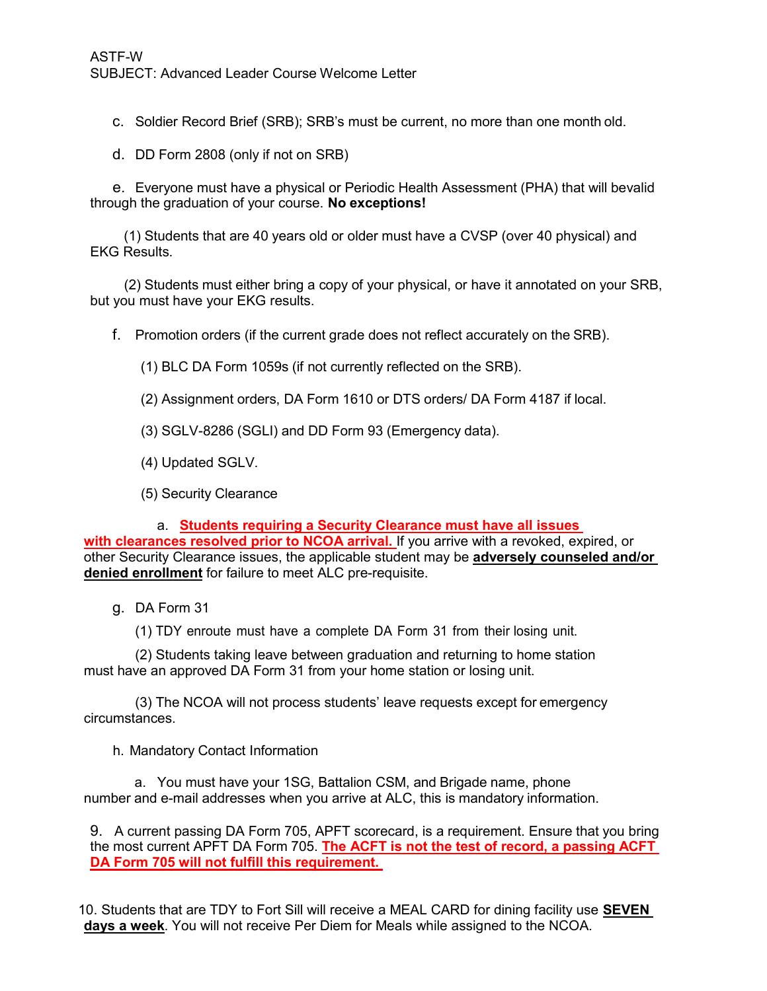c. Soldier Record Brief (SRB); SRB's must be current, no more than one month old.

d. DD Form 2808 (only if not on SRB)

e. Everyone must have a physical or Periodic Health Assessment (PHA) that will bevalid through the graduation of your course. **No exceptions!**

(1) Students that are 40 years old or older must have a CVSP (over 40 physical) and EKG Results.

(2) Students must either bring a copy of your physical, or have it annotated on your SRB, but you must have your EKG results.

f. Promotion orders (if the current grade does not reflect accurately on the SRB).

(1) BLC DA Form 1059s (if not currently reflected on the SRB).

(2) Assignment orders, DA Form 1610 or DTS orders/ DA Form 4187 if local.

(3) SGLV-8286 (SGLI) and DD Form 93 (Emergency data).

(4) Updated SGLV.

(5) Security Clearance

a. **Students requiring a Security Clearance must have all issues with clearances resolved prior to NCOA arrival.** If you arrive with a revoked, expired, or other Security Clearance issues, the applicable student may be **adversely counseled and/or denied enrollment** for failure to meet ALC pre-requisite.

g. DA Form 31

(1) TDY enroute must have a complete DA Form 31 from their losing unit.

(2) Students taking leave between graduation and returning to home station must have an approved DA Form 31 from your home station or losing unit.

(3) The NCOA will not process students' leave requests except for emergency circumstances.

h. Mandatory Contact Information

a. You must have your 1SG, Battalion CSM, and Brigade name, phone number and e-mail addresses when you arrive at ALC, this is mandatory information.

9. A current passing DA Form 705, APFT scorecard, is a requirement. Ensure that you bring the most current APFT DA Form 705. **The ACFT is not the test of record, a passing ACFT DA Form 705 will not fulfill this requirement.** 

10. Students that are TDY to Fort Sill will receive a MEAL CARD for dining facility use **SEVEN days a week**. You will not receive Per Diem for Meals while assigned to the NCOA.